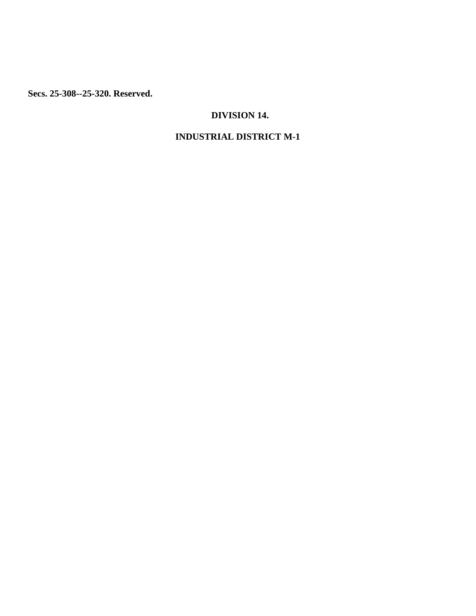**Secs. 25-308--25-320. Reserved.**

# **DIVISION 14.**

# **INDUSTRIAL DISTRICT M-1**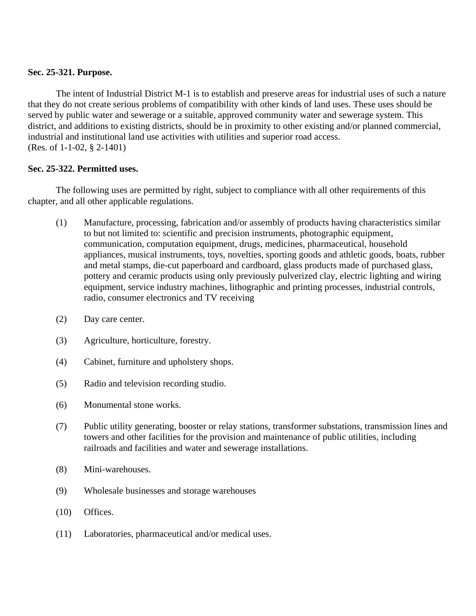### **Sec. 25-321. Purpose.**

The intent of Industrial District M-1 is to establish and preserve areas for industrial uses of such a nature that they do not create serious problems of compatibility with other kinds of land uses. These uses should be served by public water and sewerage or a suitable, approved community water and sewerage system. This district, and additions to existing districts, should be in proximity to other existing and/or planned commercial, industrial and institutional land use activities with utilities and superior road access. (Res. of 1-1-02, § 2-1401)

#### **Sec. 25-322. Permitted uses.**

The following uses are permitted by right, subject to compliance with all other requirements of this chapter, and all other applicable regulations.

- (1) Manufacture, processing, fabrication and/or assembly of products having characteristics similar to but not limited to: scientific and precision instruments, photographic equipment, communication, computation equipment, drugs, medicines, pharmaceutical, household appliances, musical instruments, toys, novelties, sporting goods and athletic goods, boats, rubber and metal stamps, die-cut paperboard and cardboard, glass products made of purchased glass, pottery and ceramic products using only previously pulverized clay, electric lighting and wiring equipment, service industry machines, lithographic and printing processes, industrial controls, radio, consumer electronics and TV receiving
- (2) Day care center.
- (3) Agriculture, horticulture, forestry.
- (4) Cabinet, furniture and upholstery shops.
- (5) Radio and television recording studio.
- (6) Monumental stone works.
- (7) Public utility generating, booster or relay stations, transformer substations, transmission lines and towers and other facilities for the provision and maintenance of public utilities, including railroads and facilities and water and sewerage installations.
- (8) Mini-warehouses.
- (9) Wholesale businesses and storage warehouses
- (10) Offices.
- (11) Laboratories, pharmaceutical and/or medical uses.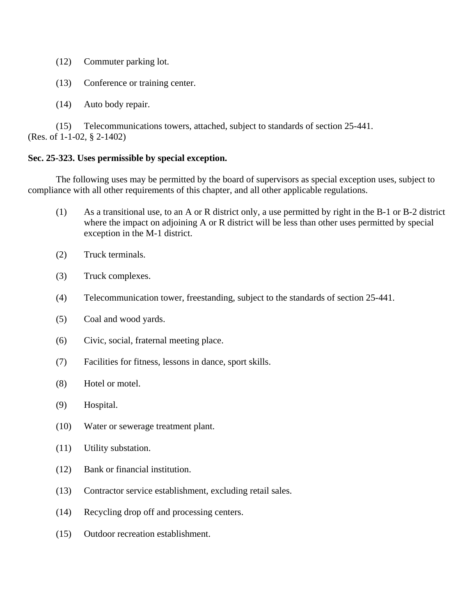- (12) Commuter parking lot.
- (13) Conference or training center.
- (14) Auto body repair.

 (15) Telecommunications towers, attached, subject to standards of section 25-441. (Res. of 1-1-02, § 2-1402)

### **Sec. 25-323. Uses permissible by special exception.**

The following uses may be permitted by the board of supervisors as special exception uses, subject to compliance with all other requirements of this chapter, and all other applicable regulations.

- (1) As a transitional use, to an A or R district only, a use permitted by right in the B-1 or B-2 district where the impact on adjoining A or R district will be less than other uses permitted by special exception in the M-1 district.
- (2) Truck terminals.
- (3) Truck complexes.
- (4) Telecommunication tower, freestanding, subject to the standards of section 25-441.
- (5) Coal and wood yards.
- (6) Civic, social, fraternal meeting place.
- (7) Facilities for fitness, lessons in dance, sport skills.
- (8) Hotel or motel.
- (9) Hospital.
- (10) Water or sewerage treatment plant.
- (11) Utility substation.
- (12) Bank or financial institution.
- (13) Contractor service establishment, excluding retail sales.
- (14) Recycling drop off and processing centers.
- (15) Outdoor recreation establishment.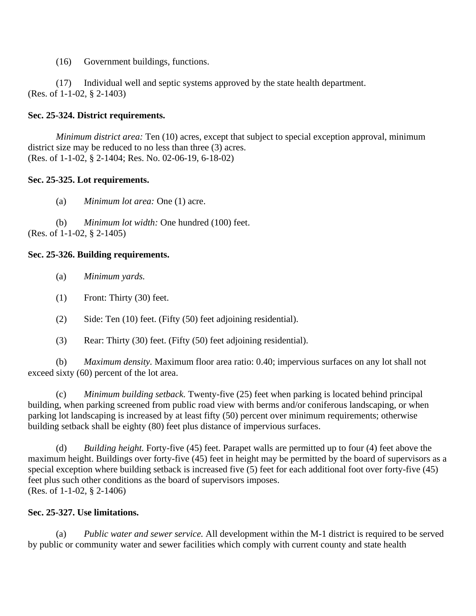(16) Government buildings, functions.

 (17) Individual well and septic systems approved by the state health department. (Res. of 1-1-02, § 2-1403)

## **Sec. 25-324. District requirements.**

*Minimum district area:* Ten (10) acres, except that subject to special exception approval, minimum district size may be reduced to no less than three (3) acres. (Res. of 1-1-02, § 2-1404; Res. No. 02-06-19, 6-18-02)

## **Sec. 25-325. Lot requirements.**

(a) *Minimum lot area:* One (1) acre.

 (b) *Minimum lot width:* One hundred (100) feet. (Res. of 1-1-02, § 2-1405)

## **Sec. 25-326. Building requirements.**

- (a) *Minimum yards.*
- (1) Front: Thirty (30) feet.
- (2) Side: Ten (10) feet. (Fifty (50) feet adjoining residential).
- (3) Rear: Thirty (30) feet. (Fifty (50) feet adjoining residential).

 (b) *Maximum density.* Maximum floor area ratio: 0.40; impervious surfaces on any lot shall not exceed sixty (60) percent of the lot area.

 (c) *Minimum building setback.* Twenty-five (25) feet when parking is located behind principal building, when parking screened from public road view with berms and/or coniferous landscaping, or when parking lot landscaping is increased by at least fifty (50) percent over minimum requirements; otherwise building setback shall be eighty (80) feet plus distance of impervious surfaces.

 (d) *Building height.* Forty-five (45) feet. Parapet walls are permitted up to four (4) feet above the maximum height. Buildings over forty-five (45) feet in height may be permitted by the board of supervisors as a special exception where building setback is increased five (5) feet for each additional foot over forty-five (45) feet plus such other conditions as the board of supervisors imposes. (Res. of 1-1-02, § 2-1406)

### **Sec. 25-327. Use limitations.**

 (a) *Public water and sewer service.* All development within the M-1 district is required to be served by public or community water and sewer facilities which comply with current county and state health